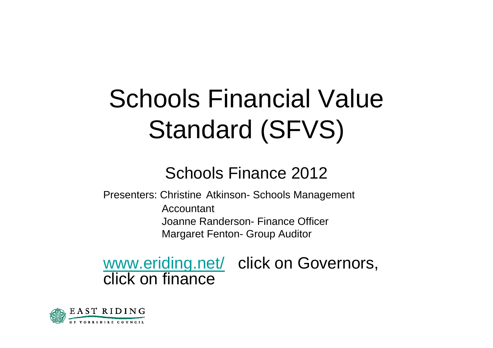## Schools Financial Value Standard (SFVS)

#### Schools Finance 2012

Presenters: Christine Atkinson- Schools Management Accountant Joanne Randerson- Finance Officer Margaret Fenton- Group Auditor

www.eriding.net/ click on Governors, click on finance

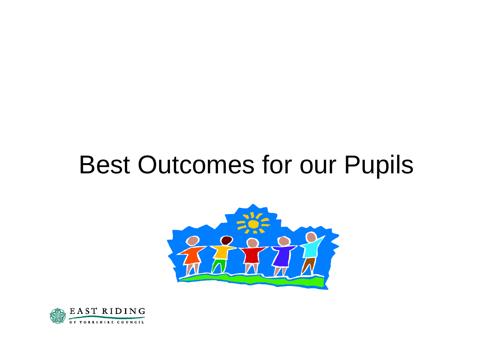#### Best Outcomes for our Pupils



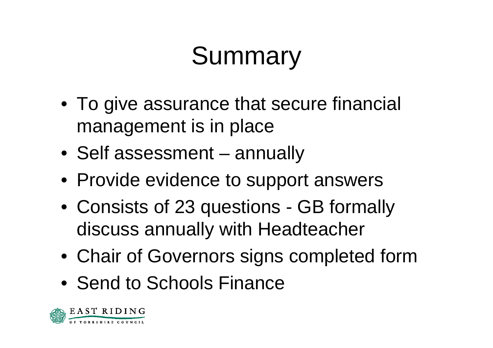## **Summary**

- To give assurance that secure financial management is in place
- Self assessment annually
- Provide evidence to support answers
- Consists of 23 questions GB formally discuss annually with Headteacher
- Chair of Governors signs completed form
- Send to Schools Finance

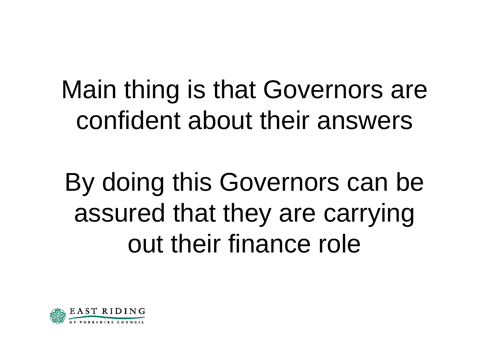#### Main thing is that Governors are confident about their answers

## By doing this Governors can be assured that they are carrying out their finance role

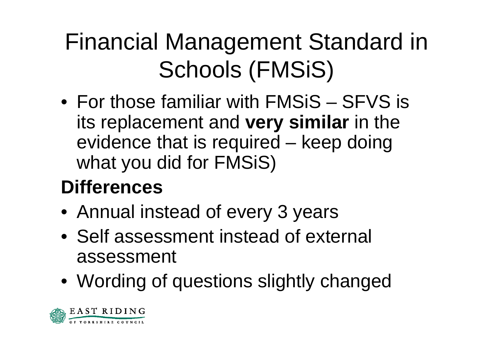#### Financial Management Standard in Schools (FMSiS)

•For those familiar with FMSiS–– SFVS is its replacement and **very similar** in the evidence that is required – keep doing what you did for FMSiS)

#### **Differences**

- Annual instead of every 3 years
- Self assessment instead of external assessment
- Wording of questions slightly changed

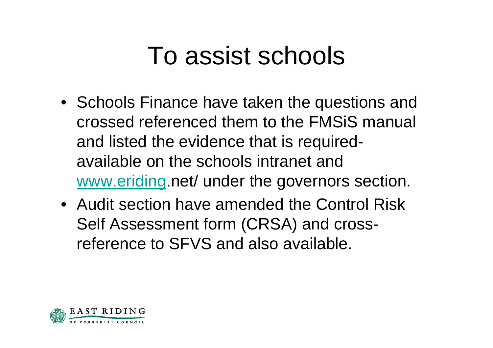#### To assist schools

- Schools Finance have taken the questions and crossed referenced them to the FMSiSmanual and listed the evidence that is requiredavailable on the schools intranet and www.eriding.net/ under the governors section.
- •Audit section have amended the Control Risk Self Assessment form (CRSA) and crossreference to SFVS and also available.

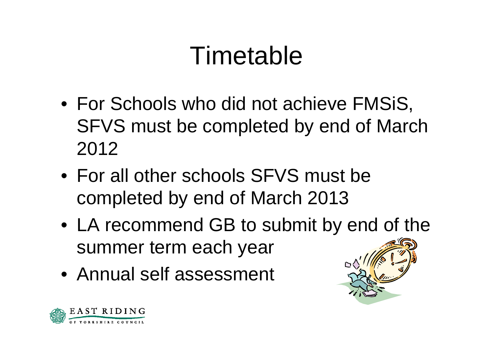### Timetable

- For Schools who did not achieve FMSiS, SFVS must be completed by end of March 2012
- For all other schools SFVS must be completed by end of March 2013
- LA recommend GB to submit by end of the summer term each year
- Annual self assessment



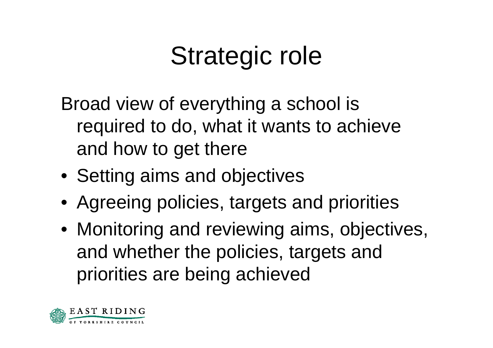## Strategic role

Broad view of everything a school is required to do, what it wants to achieve and how to get there

- Setting aims and objectives
- Agreeing policies, targets and priorities
- Monitoring and reviewing aims, objectives, and whether the policies, targets and priorities are being achieved

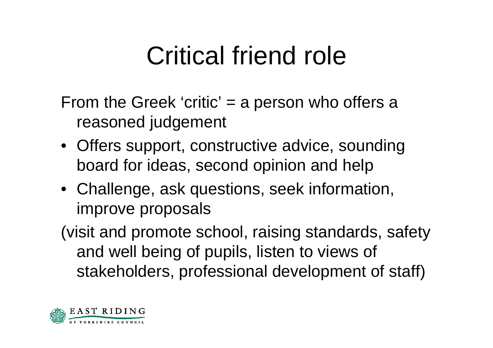## Critical friend role

From the Greek 'critic'  $=$  a person who offers a reasoned judgement

- Offers support, constructive advice, sounding board for ideas, second opinion and help
- Challenge, ask questions, seek information, improve proposals
- (visit and promote school, raising standards, safety and well being of pupils, listen to views of stakeholders, professional development of staff)

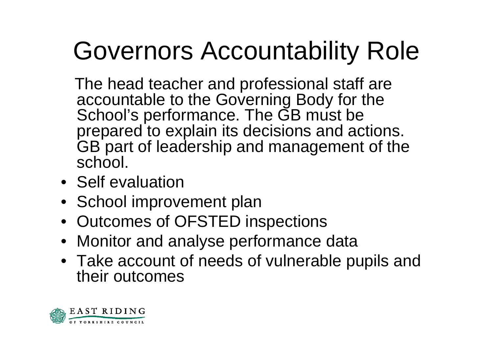# Governors Accountability Role

The head teacher and professional staff are accountable to the Governing Body for the School's performance. The GB must be prepared to explain its decisions and actions. GB part of leadership and management of the school.

- Self evaluation
- School improvement plan
- Outcomes of OFSTED inspections
- Monitor and analyse performance data
- Take account of needs of vulnerable pupils and their outcomes

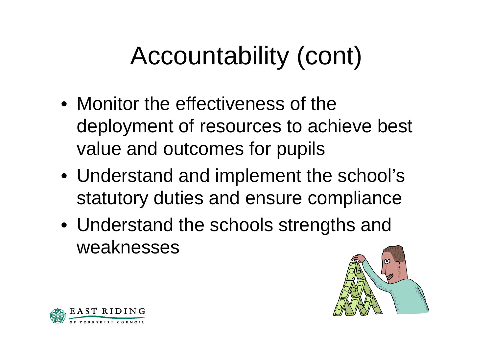# Accountability (cont)

- Monitor the effectiveness of the deployment of resources to achieve best value and outcomes for pupils
- Understand and implement the school's statutory duties and ensure compliance
- Understand the schools strengths and weaknesses



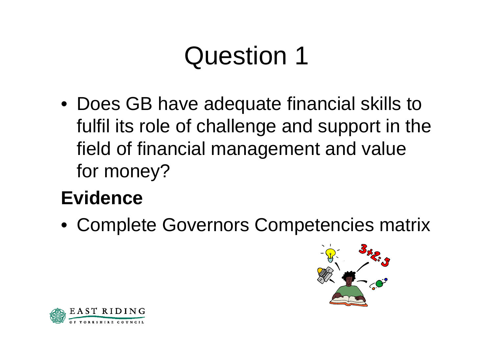• Does GB have adequate financial skills to fulfil its role of challenge and support in the field of financial management and value for money?

#### **Evidence**

• Complete Governors Competencies matrix



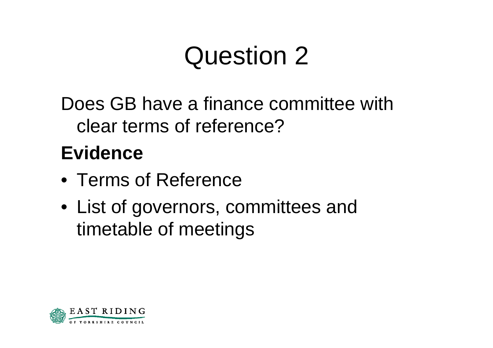Does GB have a finance committee with clear terms of reference?

- Terms of Reference
- List of governors, committees and timetable of meetings

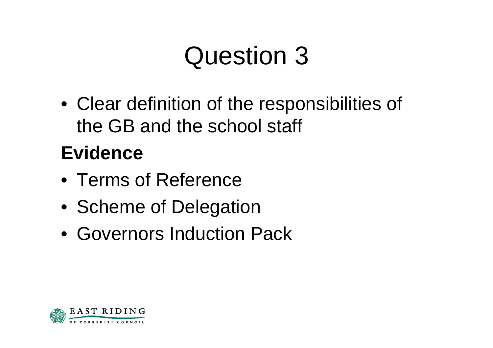• Clear definition of the responsibilities of the GB and the school staff

- Terms of Reference
- Scheme of Delegation
- Governors Induction Pack

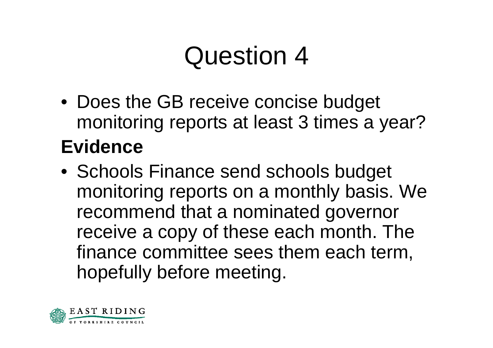- Does the GB receive concise budget monitoring reports at least 3 times a year? **Evidence**
- Schools Finance send schools budget monitoring reports on a monthly basis. We recommend that a nominated governor receive a copy of these each month. The finance committee sees them each term, hopefully before meeting.

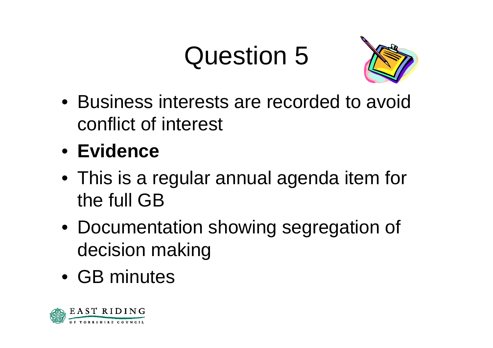

- Business interests are recorded to avoid conflict of interest
- **Evidence**
- This is a regular annual agenda item for the full GB
- Documentation showing segregation of decision making
- GB minutes

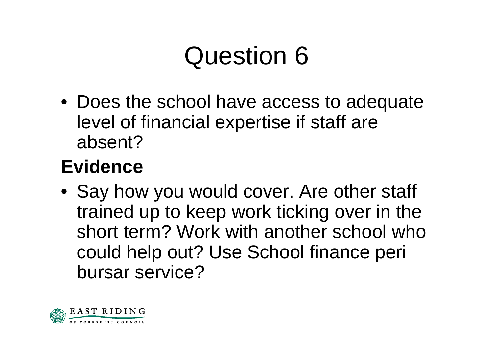• Does the school have access to adequate level of financial expertise if staff are absent?

#### **Evidence**

• Say how you would cover. Are other staff trained up to keep work ticking over in the short term? Work with another school who could help out? Use School finance peri bursar service?

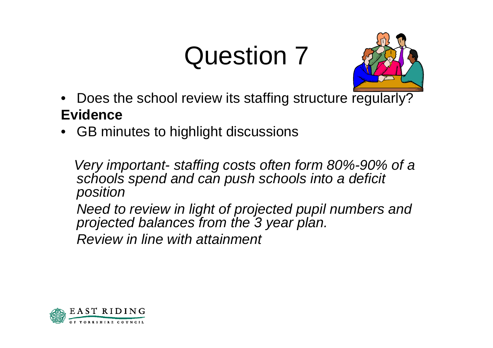

- Does the school review its staffing structure regularly? **Evidence**
- •GB minutes to highlight discussions

*Very important- staffing costs often form 80%-90% of a schools spend and can push schools into a deficit position* 

*Need to review in light of projected pupil numbers and projected balances from the 3 year plan.* 

*Review in line with attainment*

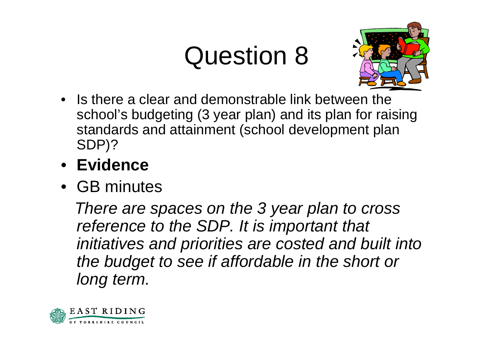

- Is there a clear and demonstrable link between the school's budgeting (3 year plan) and its plan for raising standards and attainment (school development plan SDP)?
- **Evidence**
- GB minutes

*There are spaces on the 3 year plan to cross reference to the SDP. It is important that initiatives and priorities are costed and built into the budget to see if affordable in the short or long term.*

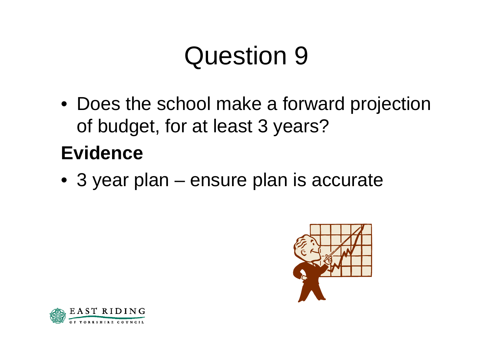• Does the school make a forward projection of budget, for at least 3 years?

#### **Evidence**

• 3 year plan – ensure plan is accurate



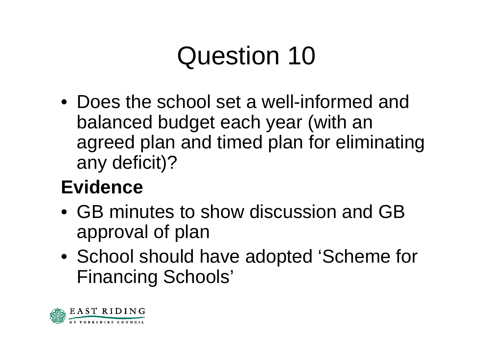•Does the school set a well-informed and balanced budget each year (with an agreed plan and timed plan for eliminating any deficit)?

- •GB minutes to show discussion and GB approval of plan
- School should have adopted 'Scheme for Financing Schools'

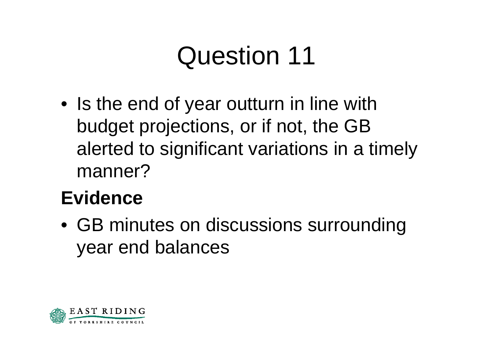• Is the end of year outturn in line with budget projections, or if not, the GB alerted to significant variations in a timely manner?

#### **Evidence**

• GB minutes on discussions surrounding year end balances

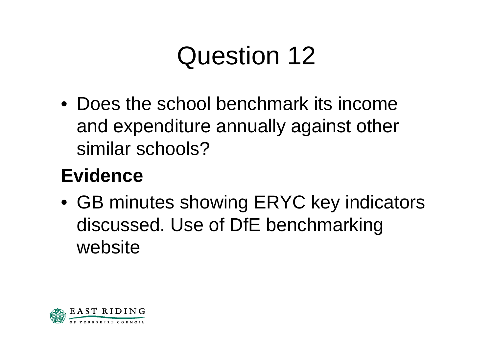• Does the school benchmark its income and expenditure annually against other similar schools?

#### **Evidence**

• GB minutes showing ERYC key indicators discussed. Use of DfE benchmarking website

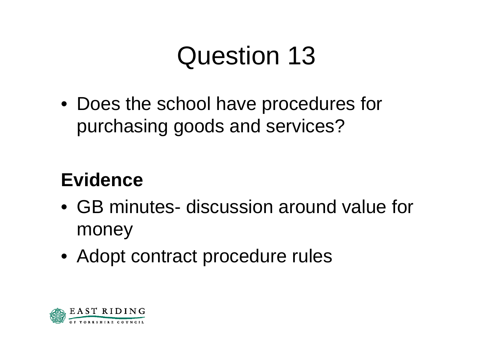• Does the school have procedures for purchasing goods and services?

- •GB minutes- discussion around value for money
- Adopt contract procedure rules

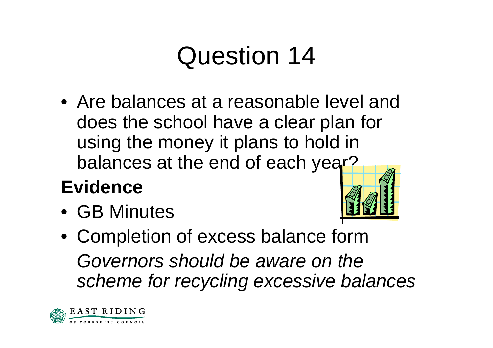•Are balances at a reasonable level and does the school have a clear plan for using the money it plans to hold in balances at the end of each year?

#### **Evidence**

• GB Minutes



• Completion of excess balance form *Governors should be aware on the scheme for recycling excessive balances*

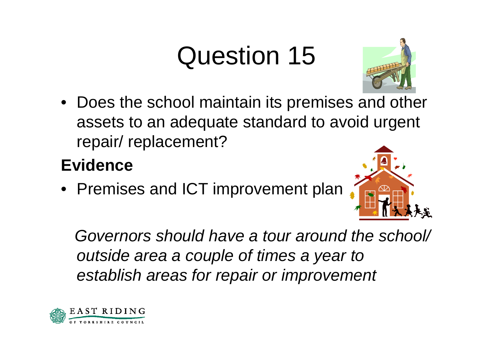• Does the school maintain its premises and other assets to an adequate standard to avoid urgent repair/ replacement?

#### **Evidence**

• Premises and ICT improvement plan









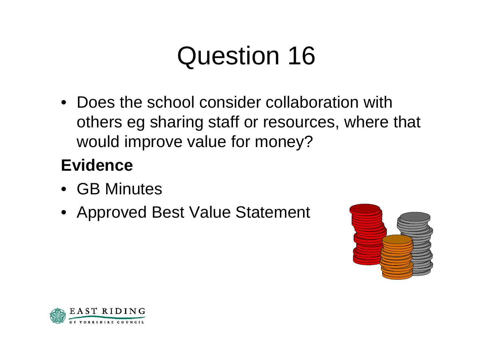•Does the school consider collaboration with others eg sharing staff or resources, where that would improve value for money?

- •GB Minutes
- Approved Best Value Statement



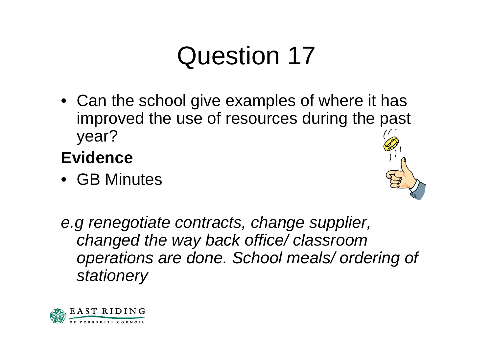• Can the school give examples of where it has improved the use of resources during the past year?

- •GB Minutes
- *e.g renegotiate contracts, change supplier, changed the way back office/ classroom operations are done. School meals/ ordering of stationery*

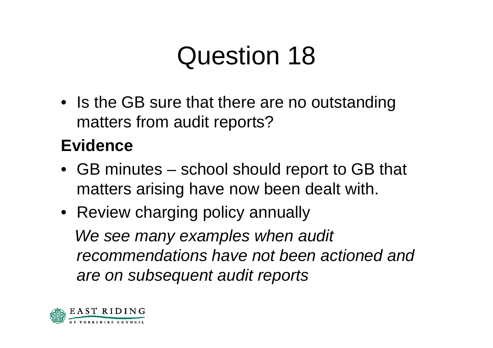• Is the GB sure that there are no outstanding matters from audit reports?

- GB minutes school should report to GB that matters arising have now been dealt with.
- Review charging policy annually *We see many examples when audit recommendations have not been actioned and are on subsequent audit reports*

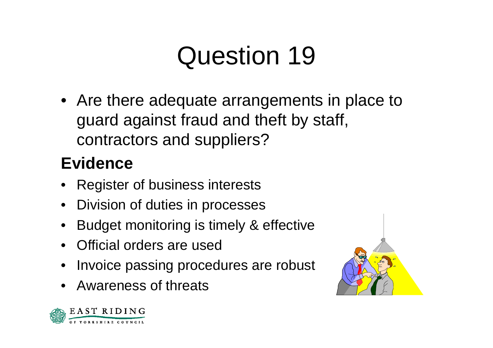• Are there adequate arrangements in place to guard against fraud and theft by staff, contractors and suppliers?

- •Register of business interests
- $\bullet$ Division of duties in processes
- •Budget monitoring is timely & effective
- •Official orders are used
- •Invoice passing procedures are robust
- •Awareness of threats

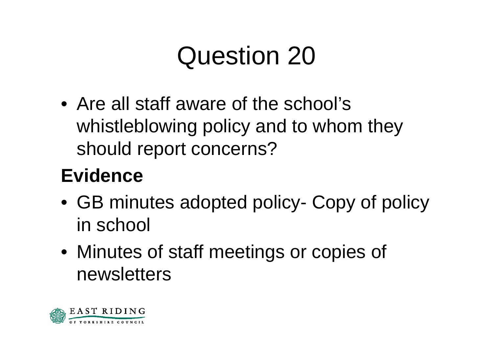• Are all staff aware of the school's whistleblowing policy and to whom they should report concerns?

- GB minutes adopted policy- Copy of policy in school
- Minutes of staff meetings or copies of newsletters

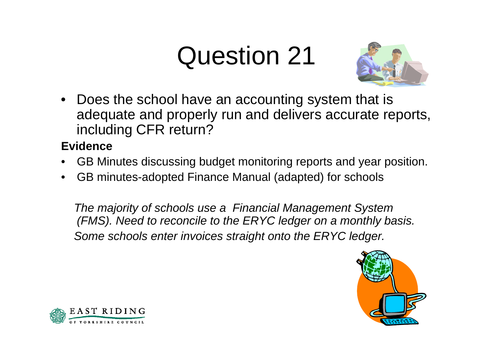

• Does the school have an accounting system that is adequate and properly run and delivers accurate reports, including CFR return?

#### **Evidence**

- •GB Minutes discus sing budget monitoring reports and year position.
- •GB minutes-adopted Finance Manual (adapted) for schools

*The majority of schools use a Financial Management System (FMS). Need to reconcile to the ERYC ledger on a monthly basis. Some schools enter invoices straight onto the ERYC ledger.* 



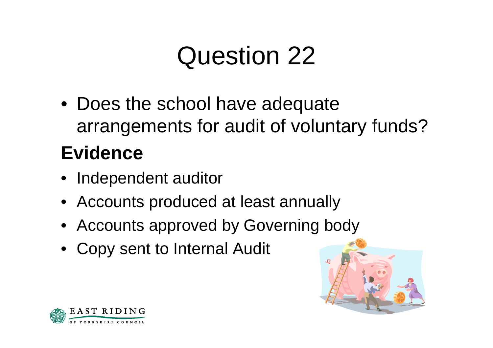• Does the school have adequate arrangements for audit of voluntary funds?

- Independent auditor
- Accounts produced at least annually
- Accounts approved by Governing body
- Copy sent to Internal Audit



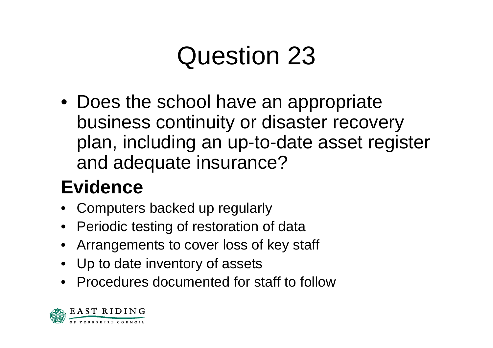• Does the school have an appropriate business continuity or disaster recovery plan, including an up-to-date asset register and adequate insurance?

- Computers backed up regularly
- Periodic testing of restoration of data
- Arrangements to cover loss of key staff
- Up to date inventory of assets
- •Procedures documented for staff to follow

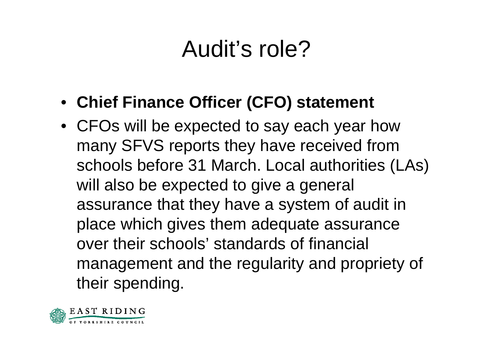#### Audit's role?

- **Chief Finance Officer (CFO) statement**
- CFOs will be expected to say each year how many SFVS reports they have received from schools before 31 March. Local authorities (LAs) will also be expected to give a general assurance that they have a system of audit in place which gives them adequate assurance over their schools' standards of financial management and the regularity and propriety of their spending.

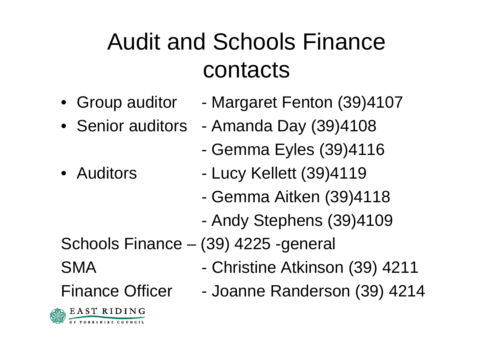#### Audit and Schools Finance contacts

- Group auditor
- 
- •Auditors
- Margaret Fenton (39)4107
- Senior auditors Amanda Day (39)4108
	- Gemma Eyles (39)4116
	- Lucy Kellett (39)4119
	- Gemma Aitken (39)4118
	- Andy Stephens (39)4109

Schools Finance – (39) 4225 -general

- Christine Atkinson (39) 4211
- Joanne Randerson (39) 4214

Finance Officer



SMA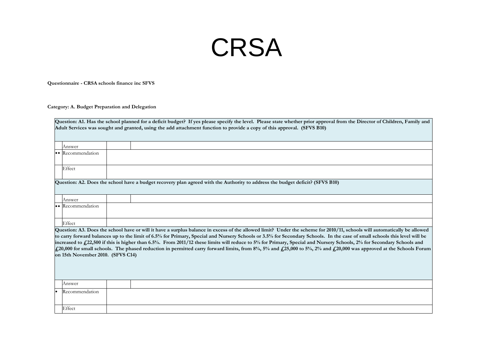#### **CRSA**

**Questionnaire - CRSA schools finance inc SFVS**

**Category: A. Budget Preparation and Delegation**

| Question: A1. Has the school planned for a deficit budget? If yes please specify the level. Please state whether prior approval from the Director of Children, Family and<br>Adult Services was sought and granted, using the add attachment function to provide a copy of this approval. (SFVS B10)                                                                                                                                                                                                                                                                                                                                                                                                                                      |                  |  |  |  |
|-------------------------------------------------------------------------------------------------------------------------------------------------------------------------------------------------------------------------------------------------------------------------------------------------------------------------------------------------------------------------------------------------------------------------------------------------------------------------------------------------------------------------------------------------------------------------------------------------------------------------------------------------------------------------------------------------------------------------------------------|------------------|--|--|--|
|                                                                                                                                                                                                                                                                                                                                                                                                                                                                                                                                                                                                                                                                                                                                           | Answer           |  |  |  |
|                                                                                                                                                                                                                                                                                                                                                                                                                                                                                                                                                                                                                                                                                                                                           | • Recommendation |  |  |  |
|                                                                                                                                                                                                                                                                                                                                                                                                                                                                                                                                                                                                                                                                                                                                           | Effect           |  |  |  |
| Question: A2. Does the school have a budget recovery plan agreed with the Authority to address the budget deficit? (SFVS B10)                                                                                                                                                                                                                                                                                                                                                                                                                                                                                                                                                                                                             |                  |  |  |  |
|                                                                                                                                                                                                                                                                                                                                                                                                                                                                                                                                                                                                                                                                                                                                           | Answer           |  |  |  |
|                                                                                                                                                                                                                                                                                                                                                                                                                                                                                                                                                                                                                                                                                                                                           | • Recommendation |  |  |  |
|                                                                                                                                                                                                                                                                                                                                                                                                                                                                                                                                                                                                                                                                                                                                           | Effect           |  |  |  |
| Question: A3. Does the school have or will it have a surplus balance in excess of the allowed limit? Under the scheme for 2010/11, schools will automatically be allowed<br>to carry forward balances up to the limit of 6.5% for Primary, Special and Nursery Schools or 3.5% for Secondary Schools. In the case of small schools this level will be<br>increased to £,22,500 if this is higher than 6.5%. From 2011/12 these limits will reduce to 5% for Primary, Special and Nursery Schools, 2% for Secondary Schools and<br>£20,000 for small schools. The phased reduction in permitted carry forward limits, from 8%, 5% and £25,000 to 5%, 2% and £20,000 was approved at the Schools Forum<br>on 15th November 2010. (SFVS C14) |                  |  |  |  |
|                                                                                                                                                                                                                                                                                                                                                                                                                                                                                                                                                                                                                                                                                                                                           | Answer           |  |  |  |
|                                                                                                                                                                                                                                                                                                                                                                                                                                                                                                                                                                                                                                                                                                                                           | Recommendation   |  |  |  |
|                                                                                                                                                                                                                                                                                                                                                                                                                                                                                                                                                                                                                                                                                                                                           | Effect           |  |  |  |